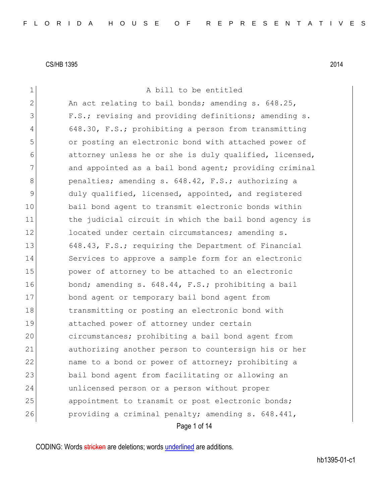Page 1 of 14 1 a bill to be entitled 2 An act relating to bail bonds; amending s. 648.25, 3 **F.S.;** revising and providing definitions; amending s. 4 648.30, F.S.; prohibiting a person from transmitting 5 or posting an electronic bond with attached power of 6 attorney unless he or she is duly qualified, licensed, 7 and appointed as a bail bond agent; providing criminal 8 **b** penalties; amending s. 648.42, F.S.; authorizing a 9 duly qualified, licensed, appointed, and registered 10 bail bond agent to transmit electronic bonds within 11 the judicial circuit in which the bail bond agency is 12 located under certain circumstances; amending s. 13 648.43, F.S.; requiring the Department of Financial 14 Services to approve a sample form for an electronic 15 **power of attorney to be attached to an electronic** 16 bond; amending s. 648.44, F.S.; prohibiting a bail 17 bond agent or temporary bail bond agent from 18 18 transmitting or posting an electronic bond with 19 attached power of attorney under certain 20 circumstances; prohibiting a bail bond agent from 21 authorizing another person to countersign his or her 22 and to a bond or power of attorney; prohibiting a 23 bail bond agent from facilitating or allowing an 24 unlicensed person or a person without proper 25 appointment to transmit or post electronic bonds; 26 providing a criminal penalty; amending s. 648.441,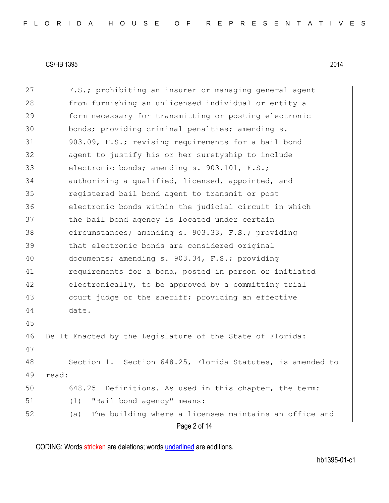| 27 | F.S.; prohibiting an insurer or managing general agent       |
|----|--------------------------------------------------------------|
| 28 | from furnishing an unlicensed individual or entity a         |
| 29 | form necessary for transmitting or posting electronic        |
| 30 | bonds; providing criminal penalties; amending s.             |
| 31 | 903.09, F.S.; revising requirements for a bail bond          |
| 32 | agent to justify his or her suretyship to include            |
| 33 | electronic bonds; amending s. 903.101, F.S.;                 |
| 34 | authorizing a qualified, licensed, appointed, and            |
| 35 | registered bail bond agent to transmit or post               |
| 36 | electronic bonds within the judicial circuit in which        |
| 37 | the bail bond agency is located under certain                |
| 38 | circumstances; amending s. 903.33, F.S.; providing           |
| 39 | that electronic bonds are considered original                |
| 40 | documents; amending s. 903.34, F.S.; providing               |
| 41 | requirements for a bond, posted in person or initiated       |
| 42 | electronically, to be approved by a committing trial         |
| 43 | court judge or the sheriff; providing an effective           |
| 44 | date.                                                        |
| 45 |                                                              |
| 46 | Be It Enacted by the Legislature of the State of Florida:    |
| 47 |                                                              |
| 48 | Section 1. Section 648.25, Florida Statutes, is amended to   |
| 49 | read:                                                        |
| 50 | 648.25<br>Definitions. - As used in this chapter, the term:  |
| 51 | "Bail bond agency" means:<br>(1)                             |
| 52 | The building where a licensee maintains an office and<br>(a) |
|    | Page 2 of 14                                                 |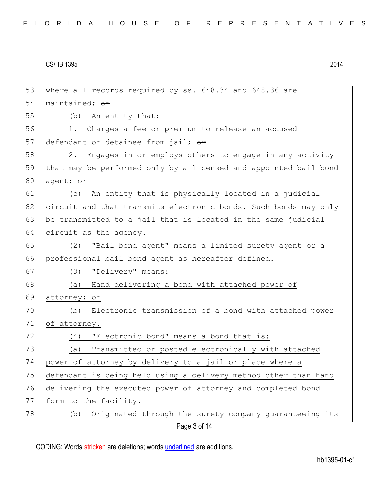| 53 | where all records required by ss. 648.34 and 648.36 are          |
|----|------------------------------------------------------------------|
| 54 | maintained; or                                                   |
| 55 | An entity that:<br>(b)                                           |
| 56 | Charges a fee or premium to release an accused<br>1.             |
| 57 | defendant or detainee from jail; or                              |
| 58 | Engages in or employs others to engage in any activity<br>2.     |
| 59 | that may be performed only by a licensed and appointed bail bond |
| 60 | agent; or                                                        |
| 61 | An entity that is physically located in a judicial<br>(C)        |
| 62 | circuit and that transmits electronic bonds. Such bonds may only |
| 63 | be transmitted to a jail that is located in the same judicial    |
| 64 | circuit as the agency.                                           |
| 65 | "Bail bond agent" means a limited surety agent or a<br>(2)       |
| 66 | professional bail bond agent as hereafter defined.               |
| 67 | "Delivery" means:<br>(3)                                         |
| 68 | Hand delivering a bond with attached power of<br>(a)             |
| 69 | attorney; or                                                     |
| 70 | Electronic transmission of a bond with attached power<br>(b)     |
| 71 | of attorney.                                                     |
| 72 | "Electronic bond" means a bond that is:<br>(4)                   |
| 73 | Transmitted or posted electronically with attached<br>(a)        |
| 74 | power of attorney by delivery to a jail or place where a         |
| 75 | defendant is being held using a delivery method other than hand  |
| 76 | delivering the executed power of attorney and completed bond     |
| 77 | form to the facility.                                            |
| 78 | Originated through the surety company quaranteeing its<br>(b)    |
|    | Page 3 of 14                                                     |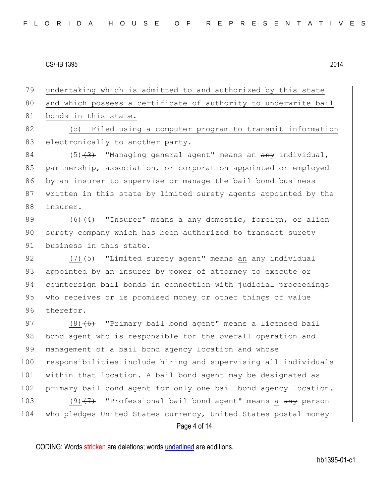79 undertaking which is admitted to and authorized by this state 80 and which possess a certificate of authority to underwrite bail 81 bonds in this state. 82 (c) Filed using a computer program to transmit information

83 electronically to another party.

84  $(5)$   $(3)$  "Managing general agent" means an  $\frac{1}{2}$  individual, 85 partnership, association, or corporation appointed or employed 86 by an insurer to supervise or manage the bail bond business 87 written in this state by limited surety agents appointed by the 88 insurer.

89  $(6)$   $(4)$  "Insurer" means a  $\frac{a}{b}$  domestic, foreign, or alien 90 surety company which has been authorized to transact surety 91 business in this state.

92  $(7)$   $\overline{5}$  "Limited surety agent" means an  $\overline{a}$  any individual 93 appointed by an insurer by power of attorney to execute or 94 countersign bail bonds in connection with judicial proceedings 95 who receives or is promised money or other things of value 96 therefor.

Page 4 of 14 97 (8)<del>(6)</del> "Primary bail bond agent" means a licensed bail 98 bond agent who is responsible for the overall operation and 99 | management of a bail bond agency location and whose 100 responsibilities include hiring and supervising all individuals 101 within that location. A bail bond agent may be designated as 102 primary bail bond agent for only one bail bond agency location. 103 (9)<del>(7)</del> "Professional bail bond agent" means a any person 104 who pledges United States currency, United States postal money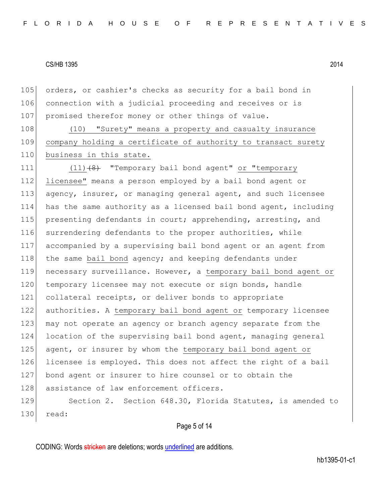105 orders, or cashier's checks as security for a bail bond in 106 connection with a judicial proceeding and receives or is 107 promised therefor money or other things of value.

108 (10) "Surety" means a property and casualty insurance 109 company holding a certificate of authority to transact surety 110 business in this state.

111  $(11)$   $(8)$  "Temporary bail bond agent" or "temporary 112 licensee" means a person employed by a bail bond agent or 113 agency, insurer, or managing general agent, and such licensee 114 has the same authority as a licensed bail bond agent, including 115 presenting defendants in court; apprehending, arresting, and 116 surrendering defendants to the proper authorities, while 117 accompanied by a supervising bail bond agent or an agent from 118 the same bail bond agency; and keeping defendants under 119 necessary surveillance. However, a temporary bail bond agent or 120 temporary licensee may not execute or sign bonds, handle 121 collateral receipts, or deliver bonds to appropriate 122 authorities. A temporary bail bond agent or temporary licensee 123 may not operate an agency or branch agency separate from the 124 location of the supervising bail bond agent, managing general 125 agent, or insurer by whom the temporary bail bond agent or 126 licensee is employed. This does not affect the right of a bail 127 bond agent or insurer to hire counsel or to obtain the 128 assistance of law enforcement officers.

129 Section 2. Section 648.30, Florida Statutes, is amended to 130 read:

### Page 5 of 14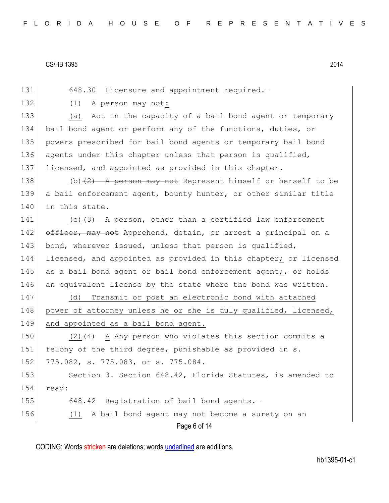| 131 | 648.30 Licensure and appointment required.-                          |
|-----|----------------------------------------------------------------------|
| 132 | (1)<br>A person may not:                                             |
| 133 | (a) Act in the capacity of a bail bond agent or temporary            |
| 134 | bail bond agent or perform any of the functions, duties, or          |
| 135 | powers prescribed for bail bond agents or temporary bail bond        |
| 136 | agents under this chapter unless that person is qualified,           |
| 137 | licensed, and appointed as provided in this chapter.                 |
| 138 | (b) $(2)$ A person may not Represent himself or herself to be        |
| 139 | a bail enforcement agent, bounty hunter, or other similar title      |
| 140 | in this state.                                                       |
| 141 | $(c)$ $(3)$ A person, other than a certified law enforcement         |
| 142 | officer, may not Apprehend, detain, or arrest a principal on a       |
| 143 | bond, wherever issued, unless that person is qualified,              |
| 144 | licensed, and appointed as provided in this chapter; or licensed     |
| 145 | as a bail bond agent or bail bond enforcement agent; $\tau$ or holds |
| 146 | an equivalent license by the state where the bond was written.       |
| 147 | Transmit or post an electronic bond with attached<br>(d)             |
| 148 | power of attorney unless he or she is duly qualified, licensed,      |
| 149 | and appointed as a bail bond agent.                                  |
| 150 | $(2)$ (4) A Any person who violates this section commits a           |
| 151 | felony of the third degree, punishable as provided in s.             |
| 152 | 775.082, s. 775.083, or s. 775.084.                                  |
| 153 | Section 3. Section 648.42, Florida Statutes, is amended to           |
| 154 | read:                                                                |
|     | Registration of bail bond agents.-<br>648.42                         |
| 155 |                                                                      |
| 156 | A bail bond agent may not become a surety on an<br>(1)               |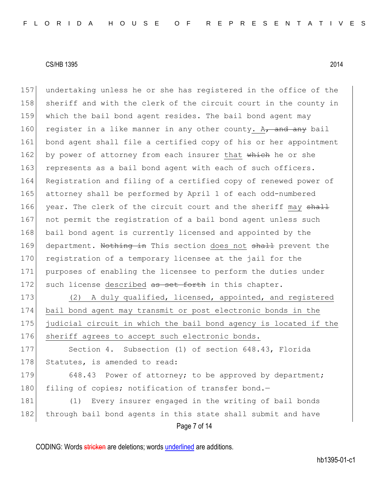Page 7 of 14 157 undertaking unless he or she has registered in the office of the 158 sheriff and with the clerk of the circuit court in the county in 159 which the bail bond agent resides. The bail bond agent may 160 register in a like manner in any other county. A<sub>7</sub> and any bail 161 bond agent shall file a certified copy of his or her appointment 162 by power of attorney from each insurer that which he or she 163 represents as a bail bond agent with each of such officers. 164 Registration and filing of a certified copy of renewed power of 165 attorney shall be performed by April 1 of each odd-numbered 166 year. The clerk of the circuit court and the sheriff may shall 167 not permit the registration of a bail bond agent unless such 168 bail bond agent is currently licensed and appointed by the 169 department. Nothing in This section does not shall prevent the 170 registration of a temporary licensee at the jail for the 171 purposes of enabling the licensee to perform the duties under 172 such license described as set forth in this chapter. 173 (2) A duly qualified, licensed, appointed, and registered 174 bail bond agent may transmit or post electronic bonds in the 175 judicial circuit in which the bail bond agency is located if the 176 sheriff agrees to accept such electronic bonds. 177 Section 4. Subsection (1) of section 648.43, Florida 178 Statutes, is amended to read: 179 648.43 Power of attorney; to be approved by department; 180 filing of copies; notification of transfer bond.-181 (1) Every insurer engaged in the writing of bail bonds 182 through bail bond agents in this state shall submit and have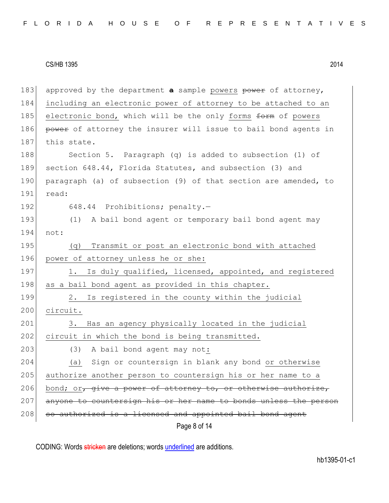Page 8 of 14 183 approved by the department **a** sample powers power of attorney, 184 including an electronic power of attorney to be attached to an 185 electronic bond, which will be the only forms form of powers 186 power of attorney the insurer will issue to bail bond agents in 187 this state. 188 Section 5. Paragraph (q) is added to subsection (1) of 189 section 648.44, Florida Statutes, and subsection (3) and 190 paragraph (a) of subsection (9) of that section are amended, to 191 read: 192 648.44 Prohibitions; penalty.-193 (1) A bail bond agent or temporary bail bond agent may 194 not: 195 (q) Transmit or post an electronic bond with attached 196 power of attorney unless he or she: 197 1. Is duly qualified, licensed, appointed, and registered 198 as a bail bond agent as provided in this chapter. 199 2. Is registered in the county within the judicial 200 circuit. 201 3. Has an agency physically located in the judicial 202 circuit in which the bond is being transmitted. 203 (3) A bail bond agent may not: 204 (a) Sign or countersign in blank any bond or otherwise 205 authorize another person to countersign his or her name to a 206 bond; or, give a power of attorney to, or otherwise authorize, 207 anyone to countersign his or her name to bonds unless the person  $208$  so authorized is a licensed and appointed bail bond agent

CODING: Words stricken are deletions; words underlined are additions.

hb1395-01-c1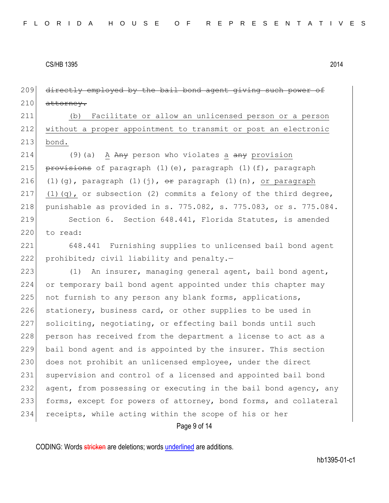209 directly employed by the bail bond agent giving such power of  $210$  attorney.

211 (b) Facilitate or allow an unlicensed person or a person 212 without a proper appointment to transmit or post an electronic 213 bond.

214 (9)(a) A  $A_{\text{H}}$  person who violates a  $A_{\text{H}}$  provision 215 provisions of paragraph (1)(e), paragraph (1)(f), paragraph 216 (1)(g), paragraph  $(1)(j)$ ,  $\theta$ r paragraph  $(1)(n)$ , or paragraph 217 (1)(q), or subsection (2) commits a felony of the third degree, 218 punishable as provided in s. 775.082, s. 775.083, or s. 775.084.

219 Section 6. Section 648.441, Florida Statutes, is amended 220 to read:

221 648.441 Furnishing supplies to unlicensed bail bond agent 222 prohibited; civil liability and penalty.-

223 (1) An insurer, managing general agent, bail bond agent, 224 or temporary bail bond agent appointed under this chapter may 225 not furnish to any person any blank forms, applications, 226 stationery, business card, or other supplies to be used in 227 soliciting, negotiating, or effecting bail bonds until such 228 person has received from the department a license to act as a 229 bail bond agent and is appointed by the insurer. This section 230 does not prohibit an unlicensed employee, under the direct 231 supervision and control of a licensed and appointed bail bond 232 agent, from possessing or executing in the bail bond agency, any 233 forms, except for powers of attorney, bond forms, and collateral 234 receipts, while acting within the scope of his or her

Page 9 of 14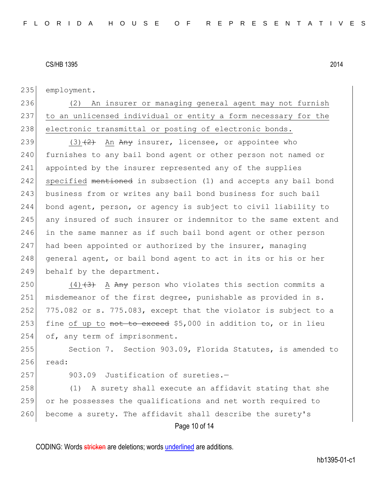235 employment.

236 (2) An insurer or managing general agent may not furnish 237 to an unlicensed individual or entity a form necessary for the 238 electronic transmittal or posting of electronic bonds.

239 (3) $(2)$  An Any insurer, licensee, or appointee who 240 furnishes to any bail bond agent or other person not named or 241 appointed by the insurer represented any of the supplies 242 specified mentioned in subsection (1) and accepts any bail bond 243 business from or writes any bail bond business for such bail 244 bond agent, person, or agency is subject to civil liability to 245 any insured of such insurer or indemnitor to the same extent and 246 in the same manner as if such bail bond agent or other person  $247$  had been appointed or authorized by the insurer, managing 248 general agent, or bail bond agent to act in its or his or her 249 behalf by the department.

250 (4) $(3)$  A Any person who violates this section commits a 251 misdemeanor of the first degree, punishable as provided in s.  $252$  775.082 or s. 775.083, except that the violator is subject to a 253 fine of up to not to exceed \$5,000 in addition to, or in lieu 254 of, any term of imprisonment.

255 Section 7. Section 903.09, Florida Statutes, is amended to 256 read:

 $257$  903.09 Justification of sureties. $-$ 

Page 10 of 14 258 (1) A surety shall execute an affidavit stating that she 259 or he possesses the qualifications and net worth required to 260 become a surety. The affidavit shall describe the surety's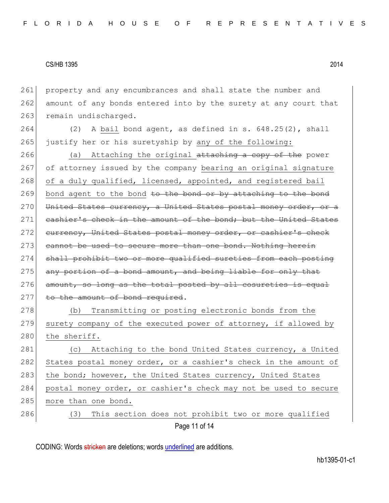Page 11 of 14 261 property and any encumbrances and shall state the number and 262 amount of any bonds entered into by the surety at any court that 263 remain undischarged. 264 (2) A bail bond agent, as defined in s.  $648.25(2)$ , shall 265 justify her or his suretyship by any of the following: 266 (a) Attaching the original attaching a copy of the power 267 of attorney issued by the company bearing an original signature 268 of a duly qualified, licensed, appointed, and registered bail  $269$  bond agent to the bond to the bond or by attaching to the bond 270 United States currency, a United States postal money order, or 271 cashier's check in the amount of the bond; but the United States 272 currency, United States postal money order, or cashier's check 273 cannot be used to secure more than one bond. Nothing herein 274 shall prohibit two or more qualified sureties from each posting 275 any portion of a bond amount, and being liable for only that  $276$  amount, so long as the total posted by all cosureties is equal 277 to the amount of bond required. 278 (b) Transmitting or posting electronic bonds from the 279 surety company of the executed power of attorney, if allowed by 280 the sheriff. 281 (c) Attaching to the bond United States currency, a United 282 States postal money order, or a cashier's check in the amount of 283 the bond; however, the United States currency, United States 284 postal money order, or cashier's check may not be used to secure 285 more than one bond. 286 (3) This section does not prohibit two or more qualified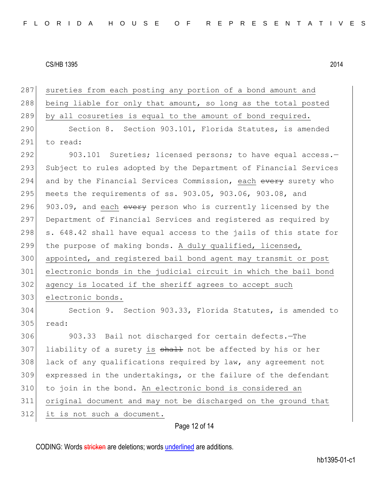| 287 | sureties from each posting any portion of a bond amount and      |
|-----|------------------------------------------------------------------|
| 288 | being liable for only that amount, so long as the total posted   |
| 289 | by all cosureties is equal to the amount of bond required.       |
| 290 | Section 8. Section 903.101, Florida Statutes, is amended         |
| 291 | to read:                                                         |
| 292 | 903.101 Sureties; licensed persons; to have equal access.-       |
| 293 | Subject to rules adopted by the Department of Financial Services |
| 294 | and by the Financial Services Commission, each every surety who  |
| 295 | meets the requirements of ss. 903.05, 903.06, 903.08, and        |
| 296 | 903.09, and each every person who is currently licensed by the   |
| 297 | Department of Financial Services and registered as required by   |
| 298 | s. 648.42 shall have equal access to the jails of this state for |
| 299 | the purpose of making bonds. A duly qualified, licensed,         |
| 300 | appointed, and registered bail bond agent may transmit or post   |
| 301 | electronic bonds in the judicial circuit in which the bail bond  |
| 302 | agency is located if the sheriff agrees to accept such           |
| 303 | electronic bonds.                                                |
| 304 | Section 9. Section 903.33, Florida Statutes, is amended to       |
| 305 | read:                                                            |
| 306 | 903.33 Bail not discharged for certain defects. - The            |
| 307 | liability of a surety is shall not be affected by his or her     |
| 308 | lack of any qualifications required by law, any agreement not    |
| 309 | expressed in the undertakings, or the failure of the defendant   |
| 310 | to join in the bond. An electronic bond is considered an         |
| 311 | original document and may not be discharged on the ground that   |
| 312 | it is not such a document.                                       |
|     |                                                                  |

# Page 12 of 14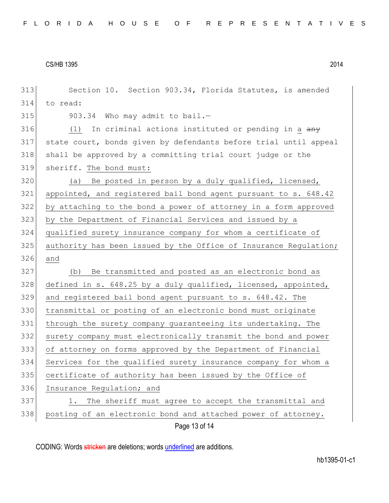| 313 | Section 10. Section 903.34, Florida Statutes, is amended         |
|-----|------------------------------------------------------------------|
| 314 | to read:                                                         |
| 315 | 903.34 Who may admit to bail.-                                   |
| 316 | In criminal actions instituted or pending in a any<br>(1)        |
| 317 | state court, bonds given by defendants before trial until appeal |
| 318 | shall be approved by a committing trial court judge or the       |
| 319 | sheriff. The bond must:                                          |
| 320 | (a) Be posted in person by a duly qualified, licensed,           |
| 321 | appointed, and registered bail bond agent pursuant to s. 648.42  |
| 322 | by attaching to the bond a power of attorney in a form approved  |
| 323 | by the Department of Financial Services and issued by a          |
| 324 | qualified surety insurance company for whom a certificate of     |
| 325 | authority has been issued by the Office of Insurance Regulation; |
| 326 | and                                                              |
| 327 | Be transmitted and posted as an electronic bond as<br>(b)        |
| 328 | defined in s. 648.25 by a duly qualified, licensed, appointed,   |
| 329 | and registered bail bond agent pursuant to s. 648.42. The        |
| 330 | transmittal or posting of an electronic bond must originate      |
| 331 | through the surety company guaranteeing its undertaking. The     |
| 332 | surety company must electronically transmit the bond and power   |
| 333 | of attorney on forms approved by the Department of Financial     |
| 334 | Services for the qualified surety insurance company for whom a   |
| 335 | certificate of authority has been issued by the Office of        |
| 336 | Insurance Regulation; and                                        |
| 337 | The sheriff must agree to accept the transmittal and<br>1.       |
| 338 | posting of an electronic bond and attached power of attorney.    |
|     | Page 13 of 14                                                    |